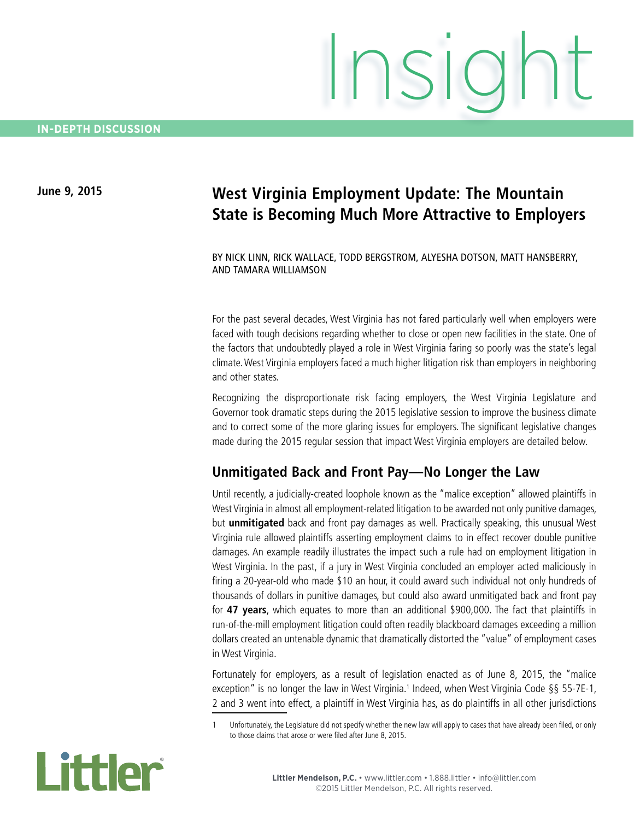# **June 9, 2015 West Virginia Employment Update: The Mountain State is Becoming Much More Attractive to Employers**

BY NICK LINN, RICK WALLACE, TODD BERGSTROM, ALYESHA DOTSON, MATT HANSBERRY, AND TAMARA WILLIAMSON

For the past several decades, West Virginia has not fared particularly well when employers were faced with tough decisions regarding whether to close or open new facilities in the state. One of the factors that undoubtedly played a role in West Virginia faring so poorly was the state's legal climate. West Virginia employers faced a much higher litigation risk than employers in neighboring and other states.

Recognizing the disproportionate risk facing employers, the West Virginia Legislature and Governor took dramatic steps during the 2015 legislative session to improve the business climate and to correct some of the more glaring issues for employers. The significant legislative changes made during the 2015 regular session that impact West Virginia employers are detailed below.

## **Unmitigated Back and Front Pay—No Longer the Law**

Until recently, a judicially-created loophole known as the "malice exception" allowed plaintiffs in West Virginia in almost all employment-related litigation to be awarded not only punitive damages, but **unmitigated** back and front pay damages as well. Practically speaking, this unusual West Virginia rule allowed plaintiffs asserting employment claims to in effect recover double punitive damages. An example readily illustrates the impact such a rule had on employment litigation in West Virginia. In the past, if a jury in West Virginia concluded an employer acted maliciously in firing a 20-year-old who made \$10 an hour, it could award such individual not only hundreds of thousands of dollars in punitive damages, but could also award unmitigated back and front pay for **47 years**, which equates to more than an additional \$900,000. The fact that plaintiffs in run-of-the-mill employment litigation could often readily blackboard damages exceeding a million dollars created an untenable dynamic that dramatically distorted the "value" of employment cases in West Virginia.

Fortunately for employers, as a result of legislation enacted as of June 8, 2015, the "malice exception" is no longer the law in West Virginia.<sup>1</sup> Indeed, when West Virginia Code §§ 55-7E-1, 2 and 3 went into effect, a plaintiff in West Virginia has, as do plaintiffs in all other jurisdictions

Unfortunately, the Legislature did not specify whether the new law will apply to cases that have already been filed, or only to those claims that arose or were filed after June 8, 2015.

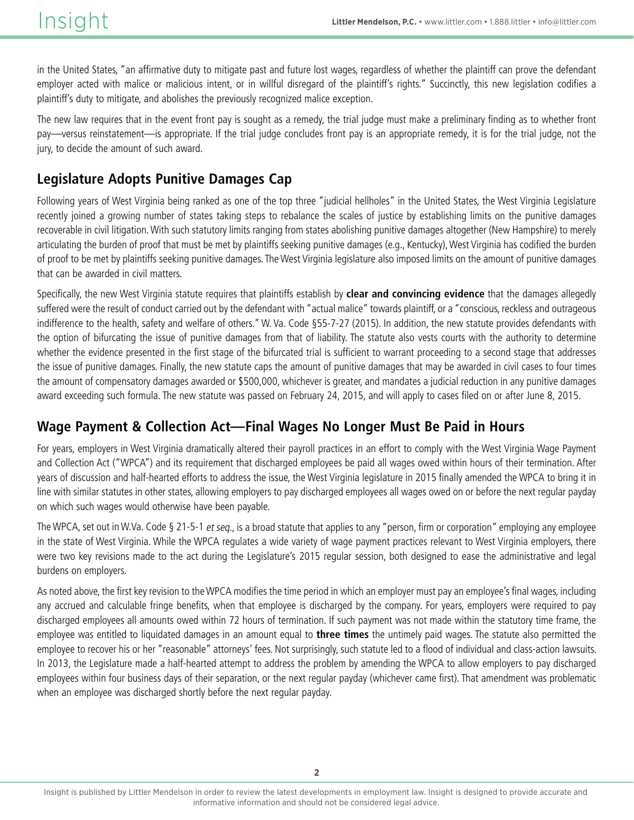in the United States, "an affirmative duty to mitigate past and future lost wages, regardless of whether the plaintiff can prove the defendant employer acted with malice or malicious intent, or in willful disregard of the plaintiff's rights." Succinctly, this new legislation codifies a plaintiff's duty to mitigate, and abolishes the previously recognized malice exception.

The new law requires that in the event front pay is sought as a remedy, the trial judge must make a preliminary finding as to whether front pay—versus reinstatement—is appropriate. If the trial judge concludes front pay is an appropriate remedy, it is for the trial judge, not the jury, to decide the amount of such award.

## **Legislature Adopts Punitive Damages Cap**

Following years of West Virginia being ranked as one of the top three "judicial hellholes" in the United States, the West Virginia Legislature recently joined a growing number of states taking steps to rebalance the scales of justice by establishing limits on the punitive damages recoverable in civil litigation. With such statutory limits ranging from states abolishing punitive damages altogether (New Hampshire) to merely articulating the burden of proof that must be met by plaintiffs seeking punitive damages (e.g., Kentucky), West Virginia has codified the burden of proof to be met by plaintiffs seeking punitive damages. The West Virginia legislature also imposed limits on the amount of punitive damages that can be awarded in civil matters.

Specifically, the new West Virginia statute requires that plaintiffs establish by **clear and convincing evidence** that the damages allegedly suffered were the result of conduct carried out by the defendant with "actual malice" towards plaintiff, or a "conscious, reckless and outrageous indifference to the health, safety and welfare of others." W. Va. Code §55-7-27 (2015). In addition, the new statute provides defendants with the option of bifurcating the issue of punitive damages from that of liability. The statute also vests courts with the authority to determine whether the evidence presented in the first stage of the bifurcated trial is sufficient to warrant proceeding to a second stage that addresses the issue of punitive damages. Finally, the new statute caps the amount of punitive damages that may be awarded in civil cases to four times the amount of compensatory damages awarded or \$500,000, whichever is greater, and mandates a judicial reduction in any punitive damages award exceeding such formula. The new statute was passed on February 24, 2015, and will apply to cases filed on or after June 8, 2015.

## **Wage Payment & Collection Act—Final Wages No Longer Must Be Paid in Hours**

For years, employers in West Virginia dramatically altered their payroll practices in an effort to comply with the West Virginia Wage Payment and Collection Act ("WPCA") and its requirement that discharged employees be paid all wages owed within hours of their termination. After years of discussion and half-hearted efforts to address the issue, the West Virginia legislature in 2015 finally amended the WPCA to bring it in line with similar statutes in other states, allowing employers to pay discharged employees all wages owed on or before the next regular payday on which such wages would otherwise have been payable.

The WPCA, set out in W.Va. Code § 21-5-1 et seq., is a broad statute that applies to any "person, firm or corporation" employing any employee in the state of West Virginia. While the WPCA regulates a wide variety of wage payment practices relevant to West Virginia employers, there were two key revisions made to the act during the Legislature's 2015 regular session, both designed to ease the administrative and legal burdens on employers.

As noted above, the first key revision to the WPCA modifies the time period in which an employer must pay an employee's final wages, including any accrued and calculable fringe benefits, when that employee is discharged by the company. For years, employers were required to pay discharged employees all amounts owed within 72 hours of termination. If such payment was not made within the statutory time frame, the employee was entitled to liquidated damages in an amount equal to **three times** the untimely paid wages. The statute also permitted the employee to recover his or her "reasonable" attorneys' fees. Not surprisingly, such statute led to a flood of individual and class-action lawsuits. In 2013, the Legislature made a half-hearted attempt to address the problem by amending the WPCA to allow employers to pay discharged employees within four business days of their separation, or the next regular payday (whichever came first). That amendment was problematic when an employee was discharged shortly before the next regular payday.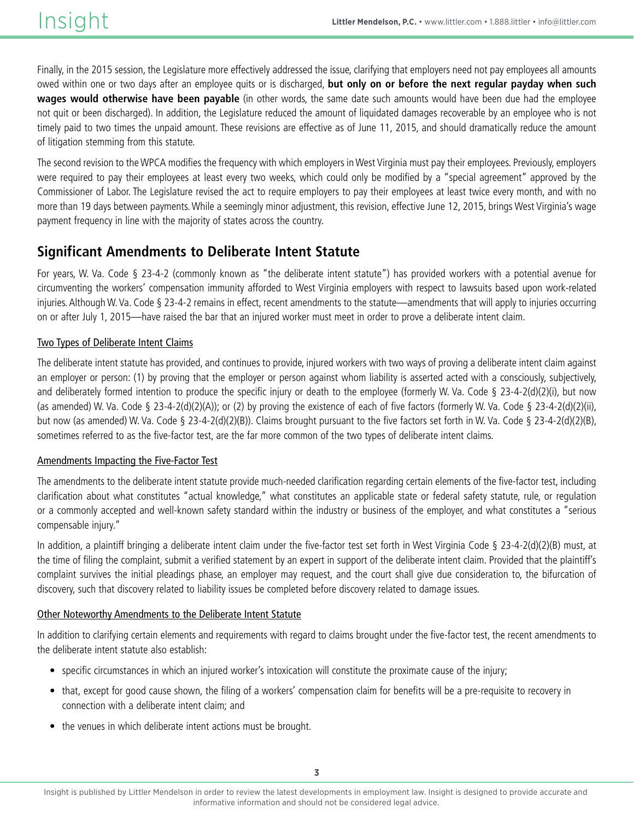Finally, in the 2015 session, the Legislature more effectively addressed the issue, clarifying that employers need not pay employees all amounts owed within one or two days after an employee quits or is discharged, **but only on or before the next regular payday when such wages would otherwise have been payable** (in other words, the same date such amounts would have been due had the employee not quit or been discharged). In addition, the Legislature reduced the amount of liquidated damages recoverable by an employee who is not timely paid to two times the unpaid amount. These revisions are effective as of June 11, 2015, and should dramatically reduce the amount of litigation stemming from this statute.

The second revision to the WPCA modifies the frequency with which employers in West Virginia must pay their employees. Previously, employers were required to pay their employees at least every two weeks, which could only be modified by a "special agreement" approved by the Commissioner of Labor. The Legislature revised the act to require employers to pay their employees at least twice every month, and with no more than 19 days between payments. While a seemingly minor adjustment, this revision, effective June 12, 2015, brings West Virginia's wage payment frequency in line with the majority of states across the country.

## **Significant Amendments to Deliberate Intent Statute**

For years, W. Va. Code § 23-4-2 (commonly known as "the deliberate intent statute") has provided workers with a potential avenue for circumventing the workers' compensation immunity afforded to West Virginia employers with respect to lawsuits based upon work-related injuries. Although W. Va. Code § 23-4-2 remains in effect, recent amendments to the statute—amendments that will apply to injuries occurring on or after July 1, 2015—have raised the bar that an injured worker must meet in order to prove a deliberate intent claim.

### Two Types of Deliberate Intent Claims

The deliberate intent statute has provided, and continues to provide, injured workers with two ways of proving a deliberate intent claim against an employer or person: (1) by proving that the employer or person against whom liability is asserted acted with a consciously, subjectively, and deliberately formed intention to produce the specific injury or death to the employee (formerly W. Va. Code § 23-4-2(d)(2)(i), but now (as amended) W. Va. Code § 23-4-2(d)(2)(A)); or (2) by proving the existence of each of five factors (formerly W. Va. Code § 23-4-2(d)(2)(ii), but now (as amended) W. Va. Code § 23-4-2(d)(2)(B)). Claims brought pursuant to the five factors set forth in W. Va. Code § 23-4-2(d)(2)(B), sometimes referred to as the five-factor test, are the far more common of the two types of deliberate intent claims.

### Amendments Impacting the Five-Factor Test

The amendments to the deliberate intent statute provide much-needed clarification regarding certain elements of the five-factor test, including clarification about what constitutes "actual knowledge," what constitutes an applicable state or federal safety statute, rule, or regulation or a commonly accepted and well-known safety standard within the industry or business of the employer, and what constitutes a "serious compensable injury."

In addition, a plaintiff bringing a deliberate intent claim under the five-factor test set forth in West Virginia Code § 23-4-2(d)(2)(B) must, at the time of filing the complaint, submit a verified statement by an expert in support of the deliberate intent claim. Provided that the plaintiff's complaint survives the initial pleadings phase, an employer may request, and the court shall give due consideration to, the bifurcation of discovery, such that discovery related to liability issues be completed before discovery related to damage issues.

### Other Noteworthy Amendments to the Deliberate Intent Statute

In addition to clarifying certain elements and requirements with regard to claims brought under the five-factor test, the recent amendments to the deliberate intent statute also establish:

- specific circumstances in which an injured worker's intoxication will constitute the proximate cause of the injury;
- that, except for good cause shown, the filing of a workers' compensation claim for benefits will be a pre-requisite to recovery in connection with a deliberate intent claim; and
- the venues in which deliberate intent actions must be brought.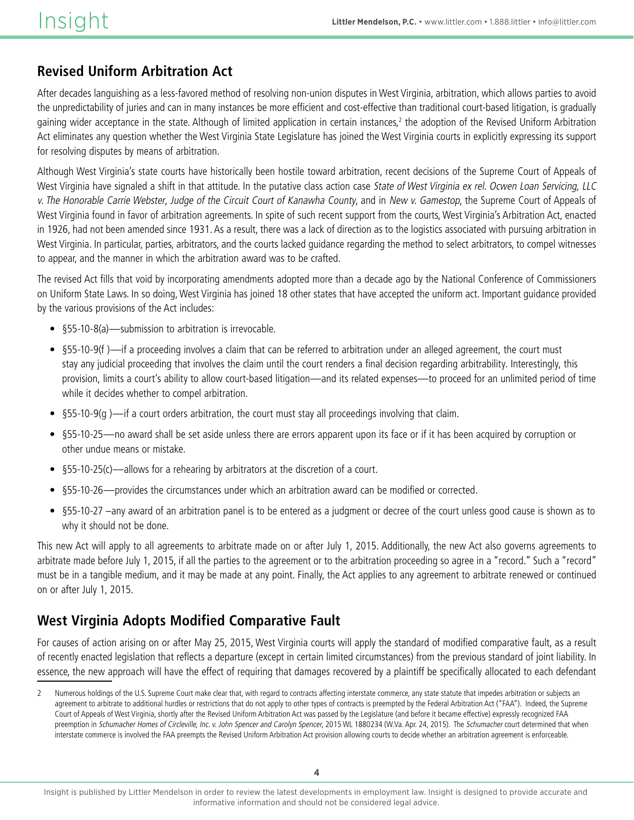## **Revised Uniform Arbitration Act**

After decades languishing as a less-favored method of resolving non-union disputes in West Virginia, arbitration, which allows parties to avoid the unpredictability of juries and can in many instances be more efficient and cost-effective than traditional court-based litigation, is gradually gaining wider acceptance in the state. Although of limited application in certain instances,<sup>2</sup> the adoption of the Revised Uniform Arbitration Act eliminates any question whether the West Virginia State Legislature has joined the West Virginia courts in explicitly expressing its support for resolving disputes by means of arbitration.

Although West Virginia's state courts have historically been hostile toward arbitration, recent decisions of the Supreme Court of Appeals of West Virginia have signaled a shift in that attitude. In the putative class action case State of West Virginia ex rel. Ocwen Loan Servicing, LLC v. The Honorable Carrie Webster, Judge of the Circuit Court of Kanawha County, and in New v. Gamestop, the Supreme Court of Appeals of West Virginia found in favor of arbitration agreements. In spite of such recent support from the courts, West Virginia's Arbitration Act, enacted in 1926, had not been amended since 1931. As a result, there was a lack of direction as to the logistics associated with pursuing arbitration in West Virginia. In particular, parties, arbitrators, and the courts lacked guidance regarding the method to select arbitrators, to compel witnesses to appear, and the manner in which the arbitration award was to be crafted.

The revised Act fills that void by incorporating amendments adopted more than a decade ago by the National Conference of Commissioners on Uniform State Laws. In so doing, West Virginia has joined 18 other states that have accepted the uniform act. Important guidance provided by the various provisions of the Act includes:

- §55-10-8(a)—submission to arbitration is irrevocable.
- • §55-10-9(f )—if a proceeding involves a claim that can be referred to arbitration under an alleged agreement, the court must stay any judicial proceeding that involves the claim until the court renders a final decision regarding arbitrability. Interestingly, this provision, limits a court's ability to allow court-based litigation—and its related expenses—to proceed for an unlimited period of time while it decides whether to compel arbitration.
- • §55-10-9(g )—if a court orders arbitration, the court must stay all proceedings involving that claim.
- §55-10-25—no award shall be set aside unless there are errors apparent upon its face or if it has been acquired by corruption or other undue means or mistake.
- §55-10-25(c)—allows for a rehearing by arbitrators at the discretion of a court.
- §55-10-26—provides the circumstances under which an arbitration award can be modified or corrected.
- • §55-10-27 –any award of an arbitration panel is to be entered as a judgment or decree of the court unless good cause is shown as to why it should not be done.

This new Act will apply to all agreements to arbitrate made on or after July 1, 2015. Additionally, the new Act also governs agreements to arbitrate made before July 1, 2015, if all the parties to the agreement or to the arbitration proceeding so agree in a "record." Such a "record" must be in a tangible medium, and it may be made at any point. Finally, the Act applies to any agreement to arbitrate renewed or continued on or after July 1, 2015.

## **West Virginia Adopts Modified Comparative Fault**

For causes of action arising on or after May 25, 2015, West Virginia courts will apply the standard of modified comparative fault, as a result of recently enacted legislation that reflects a departure (except in certain limited circumstances) from the previous standard of joint liability. In essence, the new approach will have the effect of requiring that damages recovered by a plaintiff be specifically allocated to each defendant

<sup>2</sup> Numerous holdings of the U.S. Supreme Court make clear that, with regard to contracts affecting interstate commerce, any state statute that impedes arbitration or subjects an agreement to arbitrate to additional hurdles or restrictions that do not apply to other types of contracts is preempted by the Federal Arbitration Act ("FAA"). Indeed, the Supreme Court of Appeals of West Virginia, shortly after the Revised Uniform Arbitration Act was passed by the Legislature (and before it became effective) expressly recognized FAA preemption in Schumacher Homes of Circleville, Inc. v. John Spencer and Carolyn Spencer, 2015 WL 1880234 (W.Va. Apr. 24, 2015). The Schumacher court determined that when interstate commerce is involved the FAA preempts the Revised Uniform Arbitration Act provision allowing courts to decide whether an arbitration agreement is enforceable.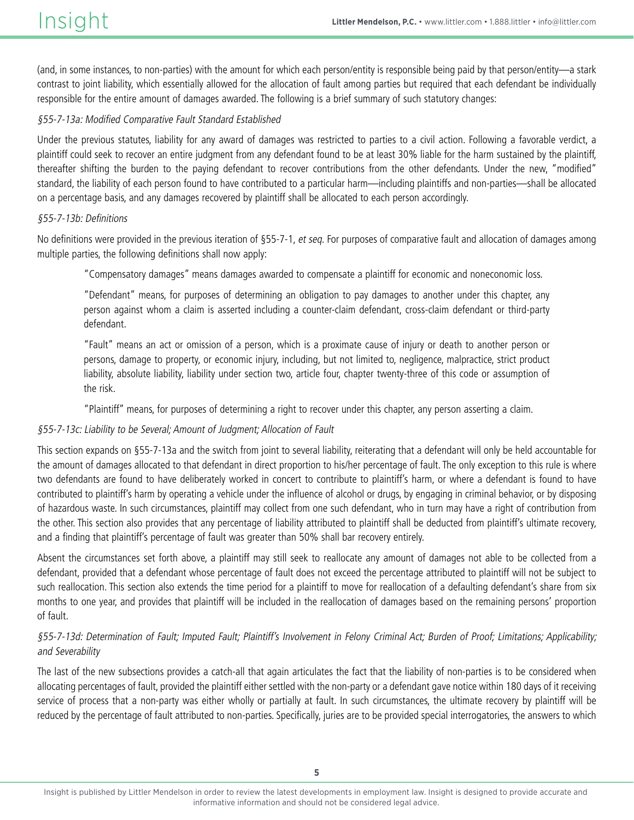(and, in some instances, to non-parties) with the amount for which each person/entity is responsible being paid by that person/entity—a stark contrast to joint liability, which essentially allowed for the allocation of fault among parties but required that each defendant be individually responsible for the entire amount of damages awarded. The following is a brief summary of such statutory changes:

### §55-7-13a: Modified Comparative Fault Standard Established

Under the previous statutes, liability for any award of damages was restricted to parties to a civil action. Following a favorable verdict, a plaintiff could seek to recover an entire judgment from any defendant found to be at least 30% liable for the harm sustained by the plaintiff, thereafter shifting the burden to the paying defendant to recover contributions from the other defendants. Under the new, "modified" standard, the liability of each person found to have contributed to a particular harm—including plaintiffs and non-parties—shall be allocated on a percentage basis, and any damages recovered by plaintiff shall be allocated to each person accordingly.

### §55-7-13b: Definitions

No definitions were provided in the previous iteration of §55-7-1, et seq. For purposes of comparative fault and allocation of damages among multiple parties, the following definitions shall now apply:

"Compensatory damages" means damages awarded to compensate a plaintiff for economic and noneconomic loss.

"Defendant" means, for purposes of determining an obligation to pay damages to another under this chapter, any person against whom a claim is asserted including a counter-claim defendant, cross-claim defendant or third-party defendant.

"Fault" means an act or omission of a person, which is a proximate cause of injury or death to another person or persons, damage to property, or economic injury, including, but not limited to, negligence, malpractice, strict product liability, absolute liability, liability under section two, article four, chapter twenty-three of this code or assumption of the risk.

"Plaintiff" means, for purposes of determining a right to recover under this chapter, any person asserting a claim.

### §55-7-13c: Liability to be Several; Amount of Judgment; Allocation of Fault

This section expands on §55-7-13a and the switch from joint to several liability, reiterating that a defendant will only be held accountable for the amount of damages allocated to that defendant in direct proportion to his/her percentage of fault. The only exception to this rule is where two defendants are found to have deliberately worked in concert to contribute to plaintiff's harm, or where a defendant is found to have contributed to plaintiff's harm by operating a vehicle under the influence of alcohol or drugs, by engaging in criminal behavior, or by disposing of hazardous waste. In such circumstances, plaintiff may collect from one such defendant, who in turn may have a right of contribution from the other. This section also provides that any percentage of liability attributed to plaintiff shall be deducted from plaintiff's ultimate recovery, and a finding that plaintiff's percentage of fault was greater than 50% shall bar recovery entirely.

Absent the circumstances set forth above, a plaintiff may still seek to reallocate any amount of damages not able to be collected from a defendant, provided that a defendant whose percentage of fault does not exceed the percentage attributed to plaintiff will not be subject to such reallocation. This section also extends the time period for a plaintiff to move for reallocation of a defaulting defendant's share from six months to one year, and provides that plaintiff will be included in the reallocation of damages based on the remaining persons' proportion of fault.

### §55-7-13d: Determination of Fault; Imputed Fault; Plaintiff's Involvement in Felony Criminal Act; Burden of Proof; Limitations; Applicability; and Severability

The last of the new subsections provides a catch-all that again articulates the fact that the liability of non-parties is to be considered when allocating percentages of fault, provided the plaintiff either settled with the non-party or a defendant gave notice within 180 days of it receiving service of process that a non-party was either wholly or partially at fault. In such circumstances, the ultimate recovery by plaintiff will be reduced by the percentage of fault attributed to non-parties. Specifically, juries are to be provided special interrogatories, the answers to which